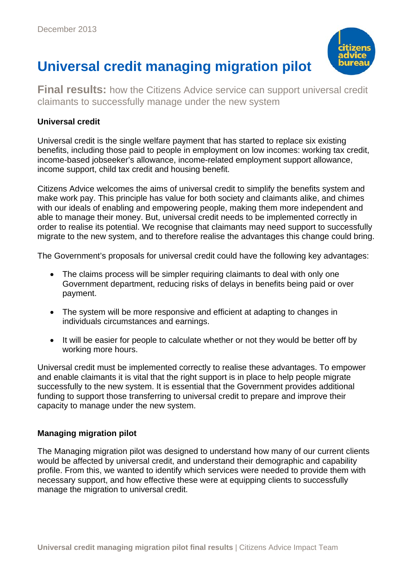

# **Universal credit managing migration pilot**

**Final results:** how the Citizens Advice service can support universal credit claimants to successfully manage under the new system

## **Universal credit**

Universal credit is the single welfare payment that has started to replace six existing benefits, including those paid to people in employment on low incomes: working tax credit, income-based jobseeker's allowance, income-related employment support allowance, income support, child tax credit and housing benefit.

Citizens Advice welcomes the aims of universal credit to simplify the benefits system and make work pay. This principle has value for both society and claimants alike, and chimes with our ideals of enabling and empowering people, making them more independent and able to manage their money. But, universal credit needs to be implemented correctly in order to realise its potential. We recognise that claimants may need support to successfully migrate to the new system, and to therefore realise the advantages this change could bring.

The Government's proposals for universal credit could have the following key advantages:

- The claims process will be simpler requiring claimants to deal with only one Government department, reducing risks of delays in benefits being paid or over payment.
- The system will be more responsive and efficient at adapting to changes in individuals circumstances and earnings.
- It will be easier for people to calculate whether or not they would be better off by working more hours.

Universal credit must be implemented correctly to realise these advantages. To empower and enable claimants it is vital that the right support is in place to help people migrate successfully to the new system. It is essential that the Government provides additional funding to support those transferring to universal credit to prepare and improve their capacity to manage under the new system.

#### **Managing migration pilot**

The Managing migration pilot was designed to understand how many of our current clients would be affected by universal credit, and understand their demographic and capability profile. From this, we wanted to identify which services were needed to provide them with necessary support, and how effective these were at equipping clients to successfully manage the migration to universal credit.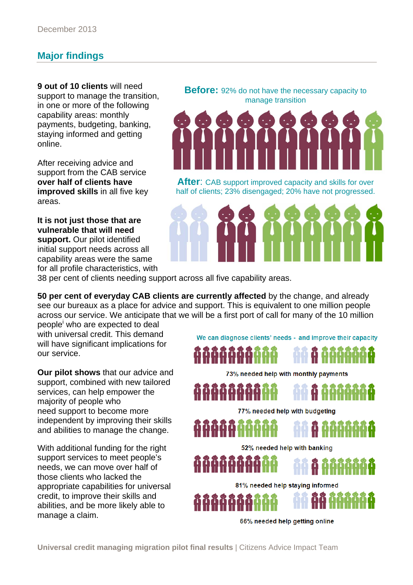# **Major findings**

**9 out of 10 clients** will need support to manage the transition, in one or more of the following capability areas: monthly payments, budgeting, banking, staying informed and getting online.

After receiving advice and support from the CAB service **over half of clients have improved skills** in all five key areas.

**It is not just those that are vulnerable that will need support.** Our pilot identified initial support needs across all capability areas were the same for all profile characteristics, with **Before:** 92% do not have the necessary capacity to manage transition



**After**: CAB support improved capacity and skills for over half of clients; 23% disengaged; 20% have not progressed.



38 per cent of clients needing support across all five capability areas.

**50 per cent of everyday CAB clients are currently affected** by the change, and already see our bureaux as a place for advice and support. This is equivalent to one million people across our service. We anticipate that we will be a first port of call for many of the 10 million

people<sup>i</sup> who are expected to deal with universal credit. This demand will have significant implications for our service.

**Our pilot shows** that our advice and support, combined with new tailored services, can help empower the majority of people who need support to become more independent by improving their skills and abilities to manage the change.

With additional funding for the right support services to meet people's needs, we can move over half of those clients who lacked the appropriate capabilities for universal credit, to improve their skills and abilities, and be more likely able to manage a claim.

We can diagnose clients' needs - and improve their capacity





73% needed help with monthly payments

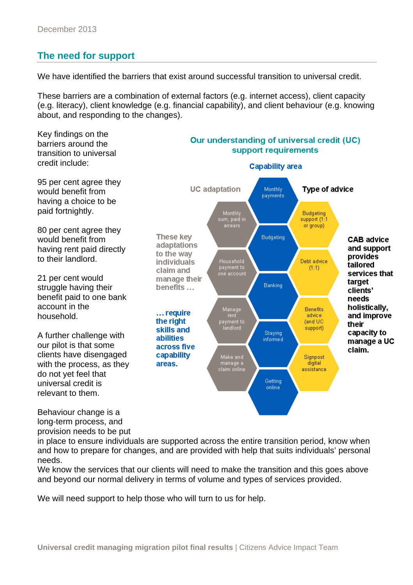## **The need for support**

We have identified the barriers that exist around successful transition to universal credit.

These barriers are a combination of external factors (e.g. internet access), client capacity (e.g. literacy), client knowledge (e.g. financial capability), and client behaviour (e.g. knowing about, and responding to the changes).



long-term process, and provision needs to be put

in place to ensure individuals are supported across the entire transition period, know when and how to prepare for changes, and are provided with help that suits individuals' personal needs.

We know the services that our clients will need to make the transition and this goes above and beyond our normal delivery in terms of volume and types of services provided.

We will need support to help those who will turn to us for help.